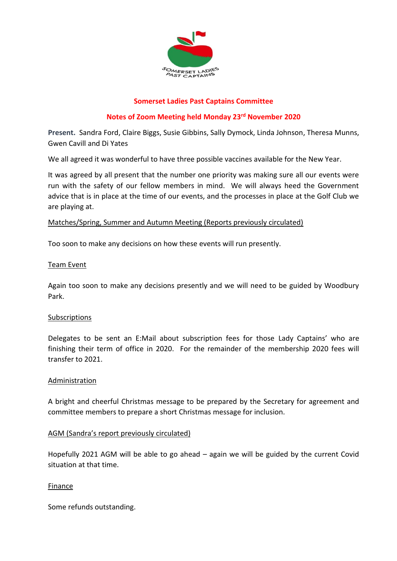

## **Somerset Ladies Past Captains Committee**

# **Notes of Zoom Meeting held Monday 23rd November 2020**

**Present.** Sandra Ford, Claire Biggs, Susie Gibbins, Sally Dymock, Linda Johnson, Theresa Munns, Gwen Cavill and Di Yates

We all agreed it was wonderful to have three possible vaccines available for the New Year.

It was agreed by all present that the number one priority was making sure all our events were run with the safety of our fellow members in mind. We will always heed the Government advice that is in place at the time of our events, and the processes in place at the Golf Club we are playing at.

#### Matches/Spring, Summer and Autumn Meeting (Reports previously circulated)

Too soon to make any decisions on how these events will run presently.

#### Team Event

Again too soon to make any decisions presently and we will need to be guided by Woodbury Park.

#### Subscriptions

Delegates to be sent an E:Mail about subscription fees for those Lady Captains' who are finishing their term of office in 2020. For the remainder of the membership 2020 fees will transfer to 2021.

#### Administration

A bright and cheerful Christmas message to be prepared by the Secretary for agreement and committee members to prepare a short Christmas message for inclusion.

#### AGM (Sandra's report previously circulated)

Hopefully 2021 AGM will be able to go ahead – again we will be guided by the current Covid situation at that time.

#### Finance

Some refunds outstanding.